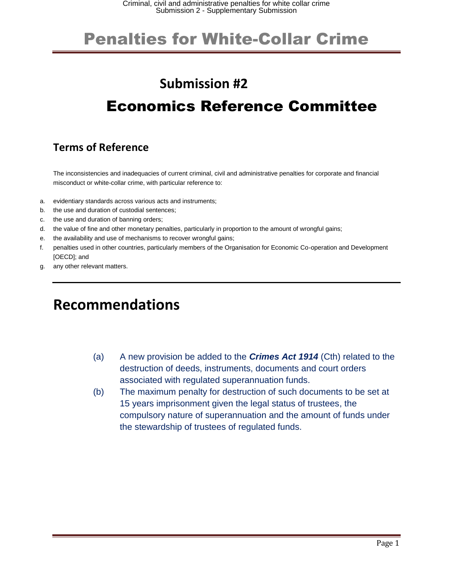#### **Submission #2**

### Economics Reference Committee

#### **Terms of Reference**

The inconsistencies and inadequacies of current criminal, civil and administrative penalties for corporate and financial misconduct or white-collar crime, with particular reference to:

- a. evidentiary standards across various acts and instruments;
- b. the use and duration of custodial sentences;
- c. the use and duration of banning orders;
- d. the value of fine and other monetary penalties, particularly in proportion to the amount of wrongful gains;
- e. the availability and use of mechanisms to recover wrongful gains;
- f. penalties used in other countries, particularly members of the Organisation for Economic Co-operation and Development [OECD]; and
- g. any other relevant matters.

#### **Recommendations**

- (a) A new provision be added to the *Crimes Act 1914* (Cth) related to the destruction of deeds, instruments, documents and court orders associated with regulated superannuation funds.
- (b) The maximum penalty for destruction of such documents to be set at 15 years imprisonment given the legal status of trustees, the compulsory nature of superannuation and the amount of funds under the stewardship of trustees of regulated funds.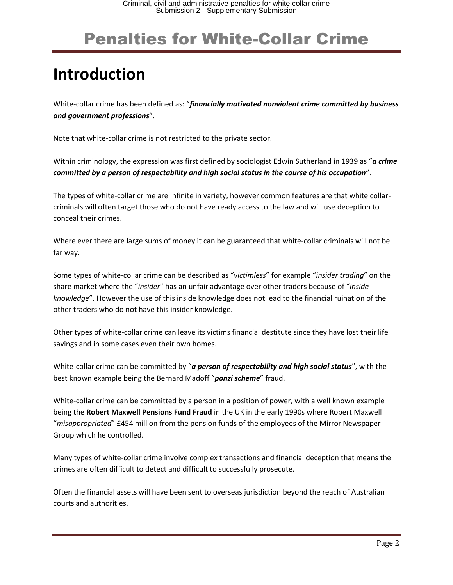# **Introduction**

White-collar crime has been defined as: "*financially motivated nonviolent crime committed by business and government professions*".

Note that white-collar crime is not restricted to the private sector.

Within criminology, the expression was first defined by sociologist Edwin Sutherland in 1939 as "*a crime committed by a person of respectability and high social status in the course of his occupation*".

The types of white-collar crime are infinite in variety, however common features are that white collarcriminals will often target those who do not have ready access to the law and will use deception to conceal their crimes.

Where ever there are large sums of money it can be guaranteed that white-collar criminals will not be far way.

Some types of white-collar crime can be described as "*victimless*" for example "*insider trading*" on the share market where the "*insider*" has an unfair advantage over other traders because of "*inside knowledge*". However the use of this inside knowledge does not lead to the financial ruination of the other traders who do not have this insider knowledge.

Other types of white-collar crime can leave its victims financial destitute since they have lost their life savings and in some cases even their own homes.

White-collar crime can be committed by "*a person of respectability and high social status*", with the best known example being the Bernard Madoff "*ponzi scheme*" fraud.

White-collar crime can be committed by a person in a position of power, with a well known example being the **Robert Maxwell Pensions Fund Fraud** in the UK in the early 1990s where Robert Maxwell "*misappropriated*" £454 million from the pension funds of the employees of the Mirror Newspaper Group which he controlled.

Many types of white-collar crime involve complex transactions and financial deception that means the crimes are often difficult to detect and difficult to successfully prosecute.

Often the financial assets will have been sent to overseas jurisdiction beyond the reach of Australian courts and authorities.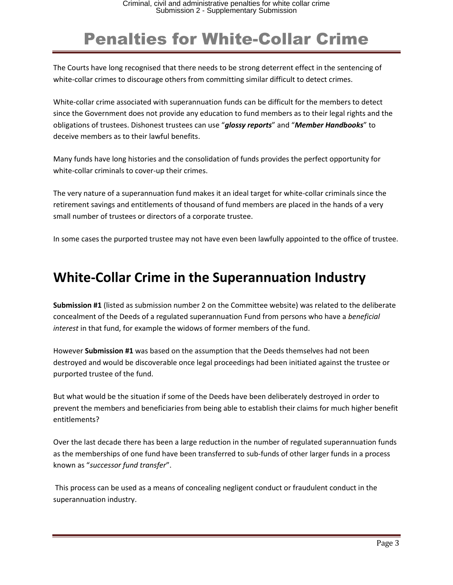The Courts have long recognised that there needs to be strong deterrent effect in the sentencing of white-collar crimes to discourage others from committing similar difficult to detect crimes.

White-collar crime associated with superannuation funds can be difficult for the members to detect since the Government does not provide any education to fund members as to their legal rights and the obligations of trustees. Dishonest trustees can use "*glossy reports*" and "*Member Handbooks*" to deceive members as to their lawful benefits.

Many funds have long histories and the consolidation of funds provides the perfect opportunity for white-collar criminals to cover-up their crimes.

The very nature of a superannuation fund makes it an ideal target for white-collar criminals since the retirement savings and entitlements of thousand of fund members are placed in the hands of a very small number of trustees or directors of a corporate trustee.

In some cases the purported trustee may not have even been lawfully appointed to the office of trustee.

#### **White-Collar Crime in the Superannuation Industry**

**Submission #1** (listed as submission number 2 on the Committee website) was related to the deliberate concealment of the Deeds of a regulated superannuation Fund from persons who have a *beneficial interest* in that fund, for example the widows of former members of the fund.

However **Submission #1** was based on the assumption that the Deeds themselves had not been destroyed and would be discoverable once legal proceedings had been initiated against the trustee or purported trustee of the fund.

But what would be the situation if some of the Deeds have been deliberately destroyed in order to prevent the members and beneficiaries from being able to establish their claims for much higher benefit entitlements?

Over the last decade there has been a large reduction in the number of regulated superannuation funds as the memberships of one fund have been transferred to sub-funds of other larger funds in a process known as "*successor fund transfer*".

This process can be used as a means of concealing negligent conduct or fraudulent conduct in the superannuation industry.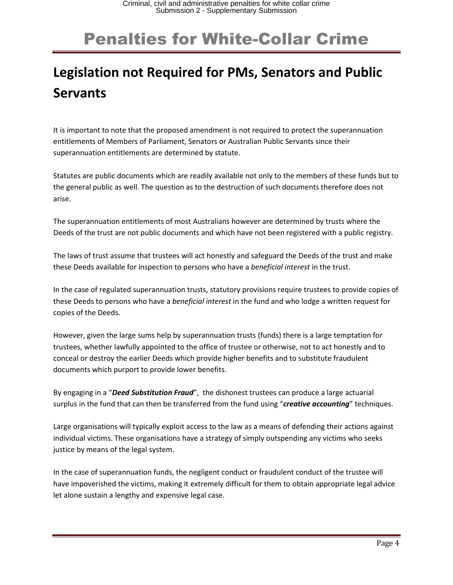### **Legislation not Required for PMs, Senators and Public Servants**

It is important to note that the proposed amendment is not required to protect the superannuation entitlements of Members of Parliament, Senators or Australian Public Servants since their superannuation entitlements are determined by statute.

Statutes are public documents which are readily available not only to the members of these funds but to the general public as well. The question as to the destruction of such documents therefore does not arise.

The superannuation entitlements of most Australians however are determined by trusts where the Deeds of the trust are not public documents and which have not been registered with a public registry.

The laws of trust assume that trustees will act honestly and safeguard the Deeds of the trust and make these Deeds available for inspection to persons who have a *beneficial interest* in the trust.

In the case of regulated superannuation trusts, statutory provisions require trustees to provide copies of these Deeds to persons who have a *beneficial interest* in the fund and who lodge a written request for copies of the Deeds.

However, given the large sums help by superannuation trusts (funds) there is a large temptation for trustees, whether lawfully appointed to the office of trustee or otherwise, not to act honestly and to conceal or destroy the earlier Deeds which provide higher benefits and to substitute fraudulent documents which purport to provide lower benefits.

By engaging in a "*Deed Substitution Fraud*", the dishonest trustees can produce a large actuarial surplus in the fund that can then be transferred from the fund using "*creative accounting*" techniques.

Large organisations will typically exploit access to the law as a means of defending their actions against individual victims. These organisations have a strategy of simply outspending any victims who seeks justice by means of the legal system.

In the case of superannuation funds, the negligent conduct or fraudulent conduct of the trustee will have impoverished the victims, making it extremely difficult for them to obtain appropriate legal advice let alone sustain a lengthy and expensive legal case.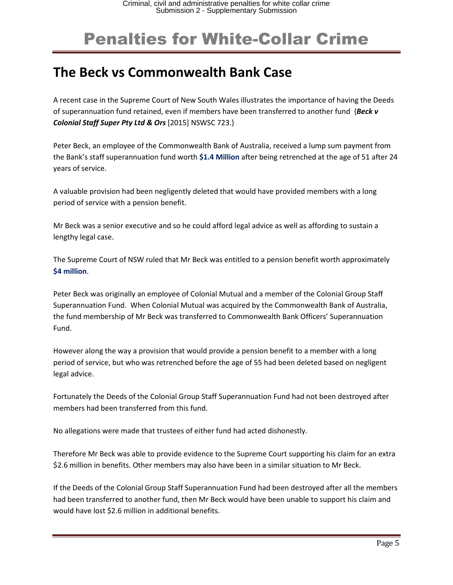#### **The Beck vs Commonwealth Bank Case**

A recent case in the Supreme Court of New South Wales illustrates the importance of having the Deeds of superannuation fund retained, even if members have been transferred to another fund {*Beck v Colonial Staff Super Pty Ltd & Ors* [2015] NSWSC 723.}

Peter Beck, an employee of the Commonwealth Bank of Australia, received a lump sum payment from the Bank's staff superannuation fund worth **\$1.4 Million** after being retrenched at the age of 51 after 24 years of service.

A valuable provision had been negligently deleted that would have provided members with a long period of service with a pension benefit.

Mr Beck was a senior executive and so he could afford legal advice as well as affording to sustain a lengthy legal case.

The Supreme Court of NSW ruled that Mr Beck was entitled to a pension benefit worth approximately **\$4 million**.

Peter Beck was originally an employee of Colonial Mutual and a member of the Colonial Group Staff Superannuation Fund. When Colonial Mutual was acquired by the Commonwealth Bank of Australia, the fund membership of Mr Beck was transferred to Commonwealth Bank Officers' Superannuation Fund.

However along the way a provision that would provide a pension benefit to a member with a long period of service, but who was retrenched before the age of 55 had been deleted based on negligent legal advice.

Fortunately the Deeds of the Colonial Group Staff Superannuation Fund had not been destroyed after members had been transferred from this fund.

No allegations were made that trustees of either fund had acted dishonestly.

Therefore Mr Beck was able to provide evidence to the Supreme Court supporting his claim for an extra \$2.6 million in benefits. Other members may also have been in a similar situation to Mr Beck.

If the Deeds of the Colonial Group Staff Superannuation Fund had been destroyed after all the members had been transferred to another fund, then Mr Beck would have been unable to support his claim and would have lost \$2.6 million in additional benefits.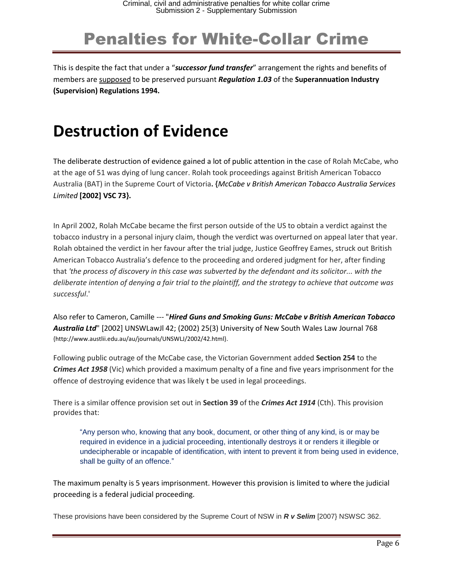This is despite the fact that under a "*successor fund transfer*" arrangement the rights and benefits of members are supposed to be preserved pursuant *Regulation 1.03* of the **Superannuation Industry (Supervision) Regulations 1994.**

### **Destruction of Evidence**

The deliberate destruction of evidence gained a lot of public attention in the case of Rolah McCabe, who at the age of 51 was dying of lung cancer. Rolah took proceedings against British American Tobacco Australia (BAT) in the Supreme Court of Victoria**. {***McCabe v British American Tobacco Australia Services Limited* **[2002] VSC 73}.**

In April 2002, Rolah McCabe became the first person outside of the US to obtain a verdict against the tobacco industry in a personal injury claim, though the verdict was overturned on appeal later that year. Rolah obtained the verdict in her favour after the trial judge, Justice Geoffrey Eames, struck out British American Tobacco Australia's defence to the proceeding and ordered judgment for her, after finding that *'the process of discovery in this case was subverted by the defendant and its solicitor... with the deliberate intention of denying a fair trial to the plaintiff, and the strategy to achieve that outcome was successful*.'

Also refer to Cameron, Camille --- "*Hired Guns and Smoking Guns: McCabe v British American Tobacco Australia Ltd*" [2002] UNSWLawJl 42; (2002) 25(3) University of New South Wales Law Journal 768 {http://www.austlii.edu.au/au/journals/UNSWLJ/2002/42.html}.

Following public outrage of the McCabe case, the Victorian Government added **Section 254** to the *Crimes Act 1958* (Vic) which provided a maximum penalty of a fine and five years imprisonment for the offence of destroying evidence that was likely t be used in legal proceedings.

There is a similar offence provision set out in **Section 39** of the *Crimes Act 1914* (Cth). This provision provides that:

"Any person who, knowing that any book, document, or other thing of any kind, is or may be required in evidence in a judicial proceeding, intentionally destroys it or renders it illegible or undecipherable or incapable of identification, with intent to prevent it from being used in evidence, shall be guilty of an offence."

The maximum penalty is 5 years imprisonment. However this provision is limited to where the judicial proceeding is a federal judicial proceeding.

These provisions have been considered by the Supreme Court of NSW in *R v Selim* [2007} NSWSC 362.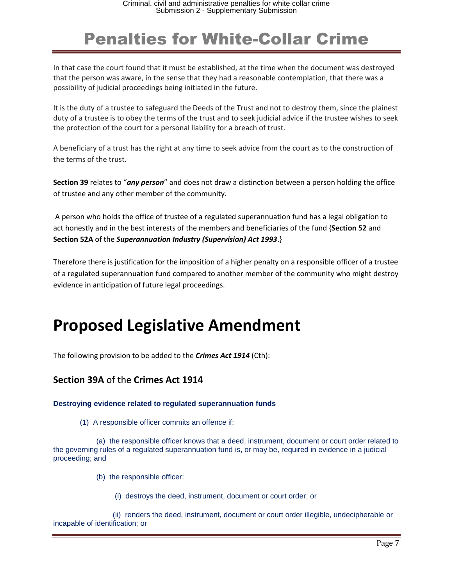In that case the court found that it must be established, at the time when the document was destroyed that the person was aware, in the sense that they had a reasonable contemplation, that there was a possibility of judicial proceedings being initiated in the future.

It is the duty of a trustee to safeguard the Deeds of the Trust and not to destroy them, since the plainest duty of a trustee is to obey the terms of the trust and to seek judicial advice if the trustee wishes to seek the protection of the court for a personal liability for a breach of trust.

A beneficiary of a trust has the right at any time to seek advice from the court as to the construction of the terms of the trust.

**Section 39** relates to "*any person*" and does not draw a distinction between a person holding the office of trustee and any other member of the community.

A person who holds the office of trustee of a regulated superannuation fund has a legal obligation to act honestly and in the best interests of the members and beneficiaries of the fund {**Section 52** and **Section 52A** of the *Superannuation Industry (Supervision) Act 1993*.}

Therefore there is justification for the imposition of a higher penalty on a responsible officer of a trustee of a regulated superannuation fund compared to another member of the community who might destroy evidence in anticipation of future legal proceedings.

#### **Proposed Legislative Amendment**

The following provision to be added to the *Crimes Act 1914* (Cth):

#### **Section 39A** of the **Crimes Act 1914**

#### **Destroying evidence related to regulated superannuation funds**

(1) A responsible officer commits an offence if:

 (a) the responsible officer knows that a deed, instrument, document or court order related to the governing rules of a regulated superannuation fund is, or may be, required in evidence in a judicial proceeding; and

- (b) the responsible officer:
	- (i) destroys the deed, instrument, document or court order; or

 (ii) renders the deed, instrument, document or court order illegible, undecipherable or incapable of identification; or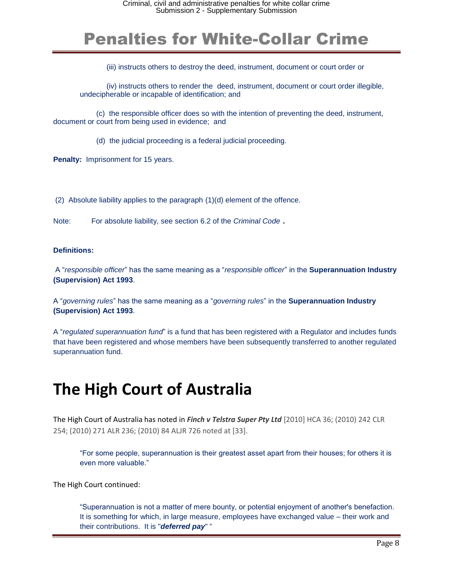(iii) instructs others to destroy the deed, instrument, document or court order or

(iv) instructs others to render the deed, instrument, document or court order illegible, undecipherable or incapable of identification; and

 (c) the responsible officer does so with the intention of preventing the deed, instrument, document or court from being used in evidence; and

(d) the judicial proceeding is a federal judicial proceeding.

**Penalty: Imprisonment for 15 years.** 

(2) Absolute liability applies to the paragraph (1)(d) element of the offence.

Note: For absolute liability, see section 6.2 of the *Criminal Code* .

**Definitions:**

A "*responsible officer*" has the same meaning as a "*responsible officer*" in the **Superannuation Industry (Supervision) Act 1993**.

A "*governing rules*" has the same meaning as a "*governing rules*" in the **Superannuation Industry (Supervision) Act 1993**.

A "*regulated superannuation fund*" is a fund that has been registered with a Regulator and includes funds that have been registered and whose members have been subsequently transferred to another regulated superannuation fund.

### **The High Court of Australia**

The High Court of Australia has noted in *Finch v Telstra Super Pty Ltd* [2010] HCA 36; (2010) 242 CLR 254; (2010) 271 ALR 236; (2010) 84 ALJR 726 noted at [33].

"For some people, superannuation is their greatest asset apart from their houses; for others it is even more valuable."

The High Court continued:

"Superannuation is not a matter of mere bounty, or potential enjoyment of another's benefaction. It is something for which, in large measure, employees have exchanged value – their work and their contributions. It is "*deferred pay*" "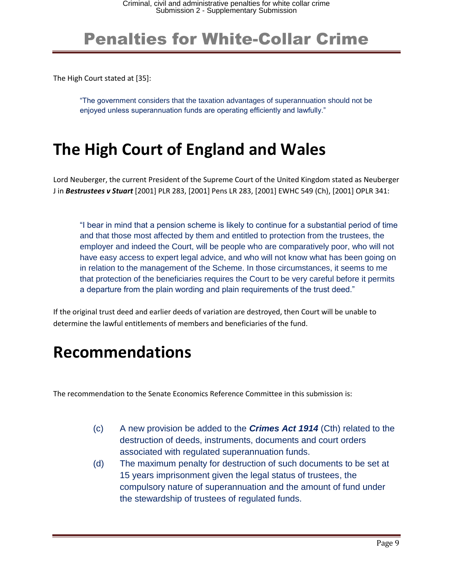The High Court stated at [35]:

"The government considers that the taxation advantages of superannuation should not be enjoyed unless superannuation funds are operating efficiently and lawfully."

### **The High Court of England and Wales**

Lord Neuberger, the current President of the Supreme Court of the United Kingdom stated as Neuberger J in *Bestrustees v Stuart* [2001] PLR 283, [2001] Pens LR 283, [2001] EWHC 549 (Ch), [2001] OPLR 341:

"I bear in mind that a pension scheme is likely to continue for a substantial period of time and that those most affected by them and entitled to protection from the trustees, the employer and indeed the Court, will be people who are comparatively poor, who will not have easy access to expert legal advice, and who will not know what has been going on in relation to the management of the Scheme. In those circumstances, it seems to me that protection of the beneficiaries requires the Court to be very careful before it permits a departure from the plain wording and plain requirements of the trust deed."

If the original trust deed and earlier deeds of variation are destroyed, then Court will be unable to determine the lawful entitlements of members and beneficiaries of the fund.

#### **Recommendations**

The recommendation to the Senate Economics Reference Committee in this submission is:

- (c) A new provision be added to the *Crimes Act 1914* (Cth) related to the destruction of deeds, instruments, documents and court orders associated with regulated superannuation funds.
- (d) The maximum penalty for destruction of such documents to be set at 15 years imprisonment given the legal status of trustees, the compulsory nature of superannuation and the amount of fund under the stewardship of trustees of regulated funds.